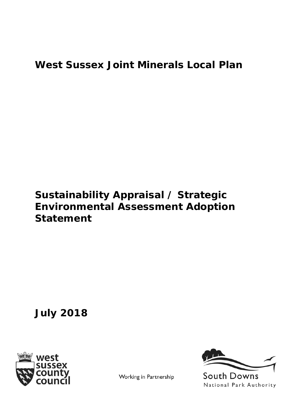## **West Sussex Joint Minerals Local Plan**

## **Sustainability Appraisal / Strategic Environmental Assessment Adoption Statement**

**July 2018**





Working in Partnership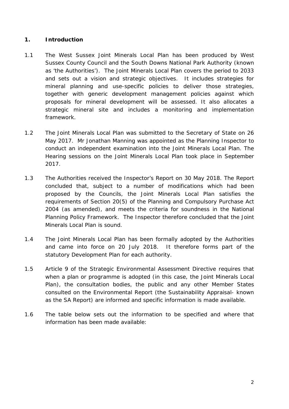## **1. Introduction**

- 1.1 The West Sussex Joint Minerals Local Plan has been produced by West Sussex County Council and the South Downs National Park Authority (known as 'the Authorities'). The Joint Minerals Local Plan covers the period to 2033 and sets out a vision and strategic objectives. It includes strategies for mineral planning and use-specific policies to deliver those strategies, together with generic development management policies against which proposals for mineral development will be assessed. It also allocates a strategic mineral site and includes a monitoring and implementation framework.
- 1.2 The Joint Minerals Local Plan was submitted to the Secretary of State on 26 May 2017. Mr Jonathan Manning was appointed as the Planning Inspector to conduct an independent examination into the Joint Minerals Local Plan. The Hearing sessions on the Joint Minerals Local Plan took place in September 2017.
- 1.3 The Authorities received the Inspector's Report on 30 May 2018. The Report concluded that, subject to a number of modifications which had been proposed by the Councils, the Joint Minerals Local Plan satisfies the requirements of Section 20(5) of the Planning and Compulsory Purchase Act 2004 (as amended), and meets the criteria for soundness in the National Planning Policy Framework. The Inspector therefore concluded that the Joint Minerals Local Plan is sound.
- 1.4 The Joint Minerals Local Plan has been formally adopted by the Authorities and came into force on 20 July 2018. It therefore forms part of the statutory Development Plan for each authority.
- 1.5 Article 9 of the Strategic Environmental Assessment Directive requires that when a plan or programme is adopted (in this case, the Joint Minerals Local Plan), the consultation bodies, the public and any other Member States consulted on the Environmental Report (the Sustainability Appraisal- known as the SA Report) are informed and specific information is made available.
- 1.6 The table below sets out the information to be specified and where that information has been made available: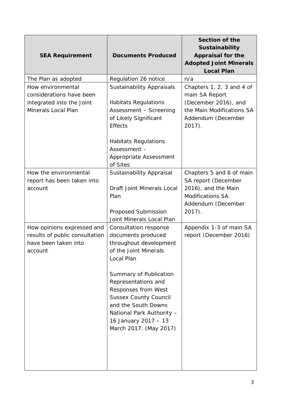| <b>SEA Requirement</b>                                                                            | <b>Documents Produced</b>                                                                                                                                                                                                                                                                                                  | Section of the<br>Sustainability<br><b>Appraisal for the</b><br><b>Adopted Joint Minerals</b><br><b>Local Plan</b>                   |
|---------------------------------------------------------------------------------------------------|----------------------------------------------------------------------------------------------------------------------------------------------------------------------------------------------------------------------------------------------------------------------------------------------------------------------------|--------------------------------------------------------------------------------------------------------------------------------------|
| The Plan as adopted                                                                               | Regulation 26 notice                                                                                                                                                                                                                                                                                                       | n/a                                                                                                                                  |
| How environmental<br>considerations have been<br>integrated into the Joint<br>Minerals Local Plan | <b>Sustainability Appraisals</b><br><b>Habitats Regulations</b><br>Assessment - Screening<br>of Likely Significant<br><b>Effects</b>                                                                                                                                                                                       | Chapters 1, 2, 3 and 4 of<br>main SA Report<br>(December 2016), and<br>the Main Modifications SA<br>Addendum (December<br>$2017$ ).  |
|                                                                                                   | <b>Habitats Regulations</b><br>Assessment -<br>Appropriate Assessment<br>of Sites                                                                                                                                                                                                                                          |                                                                                                                                      |
| How the environmental<br>report has been taken into<br>account                                    | Sustainability Appraisal<br><b>Draft Joint Minerals Local</b><br>Plan<br>Proposed Submission<br>Joint Minerals Local Plan                                                                                                                                                                                                  | Chapters 5 and 6 of main<br>SA report (December<br>2016), and the Main<br><b>Modifications SA</b><br>Addendum (December<br>$2017$ ). |
| How opinions expressed and<br>results of public consultation<br>have been taken into<br>account   | Consultation response<br>documents produced<br>throughout development<br>of the Joint Minerals<br>Local Plan<br>Summary of Publication<br>Representations and<br>Responses from West<br><b>Sussex County Council</b><br>and the South Downs<br>National Park Authority -<br>16 January 2017 - 13<br>March 2017. (May 2017) | Appendix 1-3 of main SA<br>report (December 2016)                                                                                    |